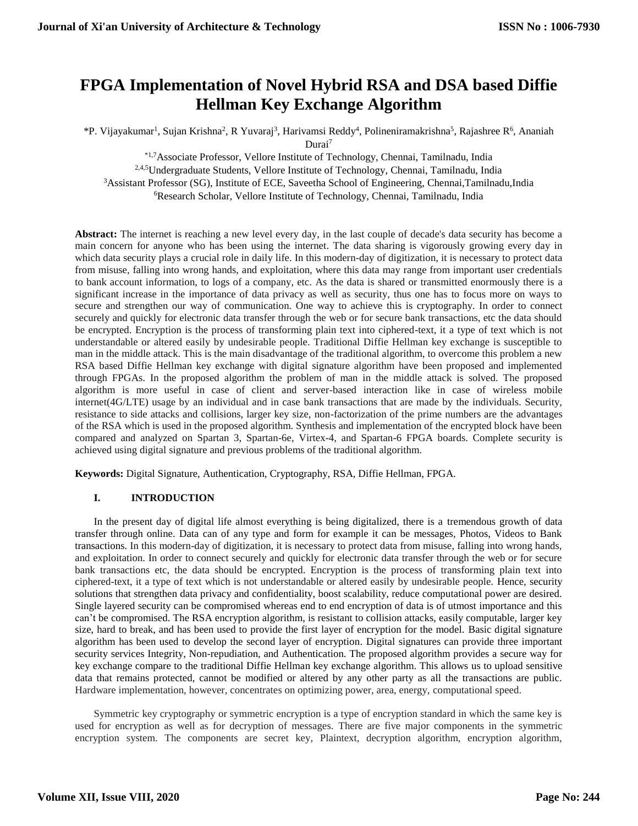# **FPGA Implementation of Novel Hybrid RSA and DSA based Diffie Hellman Key Exchange Algorithm**

\*P. Vijayakumar<sup>1</sup>, Sujan Krishna<sup>2</sup>, R Yuvaraj<sup>3</sup>, Harivamsi Reddy<sup>4</sup>, Polineniramakrishna<sup>5</sup>, Rajashree R<sup>6</sup>, Ananiah Durai<sup>7</sup>

\*1,7Associate Professor, Vellore Institute of Technology, Chennai, Tamilnadu, India <sup>2,4,5</sup>Undergraduate Students, Vellore Institute of Technology, Chennai, Tamilnadu, India <sup>3</sup>Assistant Professor (SG), Institute of ECE, Saveetha School of Engineering, Chennai,Tamilnadu,India <sup>6</sup>Research Scholar, Vellore Institute of Technology, Chennai, Tamilnadu, India

Abstract: The internet is reaching a new level every day, in the last couple of decade's data security has become a main concern for anyone who has been using the internet. The data sharing is vigorously growing every day in which data security plays a crucial role in daily life. In this modern-day of digitization, it is necessary to protect data from misuse, falling into wrong hands, and exploitation, where this data may range from important user credentials to bank account information, to logs of a company, etc. As the data is shared or transmitted enormously there is a significant increase in the importance of data privacy as well as security, thus one has to focus more on ways to secure and strengthen our way of communication. One way to achieve this is cryptography. In order to connect securely and quickly for electronic data transfer through the web or for secure bank transactions, etc the data should be encrypted. Encryption is the process of transforming plain text into ciphered-text, it a type of text which is not understandable or altered easily by undesirable people. Traditional Diffie Hellman key exchange is susceptible to man in the middle attack. This is the main disadvantage of the traditional algorithm, to overcome this problem a new RSA based Diffie Hellman key exchange with digital signature algorithm have been proposed and implemented through FPGAs. In the proposed algorithm the problem of man in the middle attack is solved. The proposed algorithm is more useful in case of client and server-based interaction like in case of wireless mobile internet(4G/LTE) usage by an individual and in case bank transactions that are made by the individuals. Security, resistance to side attacks and collisions, larger key size, non-factorization of the prime numbers are the advantages of the RSA which is used in the proposed algorithm. Synthesis and implementation of the encrypted block have been compared and analyzed on Spartan 3, Spartan-6e, Virtex-4, and Spartan-6 FPGA boards. Complete security is achieved using digital signature and previous problems of the traditional algorithm.

**Keywords:** Digital Signature, Authentication, Cryptography, RSA, Diffie Hellman, FPGA.

## **I. INTRODUCTION**

In the present day of digital life almost everything is being digitalized, there is a tremendous growth of data transfer through online. Data can of any type and form for example it can be messages, Photos, Videos to Bank transactions. In this modern-day of digitization, it is necessary to protect data from misuse, falling into wrong hands, and exploitation. In order to connect securely and quickly for electronic data transfer through the web or for secure bank transactions etc, the data should be encrypted. Encryption is the process of transforming plain text into ciphered-text, it a type of text which is not understandable or altered easily by undesirable people. Hence, security solutions that strengthen data privacy and confidentiality, boost scalability, reduce computational power are desired. Single layered security can be compromised whereas end to end encryption of data is of utmost importance and this can't be compromised. The RSA encryption algorithm, is resistant to collision attacks, easily computable, larger key size, hard to break, and has been used to provide the first layer of encryption for the model. Basic digital signature algorithm has been used to develop the second layer of encryption. Digital signatures can provide three important security services Integrity, Non-repudiation, and Authentication. The proposed algorithm provides a secure way for key exchange compare to the traditional Diffie Hellman key exchange algorithm. This allows us to upload sensitive data that remains protected, cannot be modified or altered by any other party as all the transactions are public. Hardware implementation, however, concentrates on optimizing power, area, energy, computational speed.

Symmetric key cryptography or symmetric encryption is a type of encryption standard in which the same key is used for encryption as well as for decryption of messages. There are five major components in the symmetric encryption system. The components are secret key, Plaintext, decryption algorithm, encryption algorithm,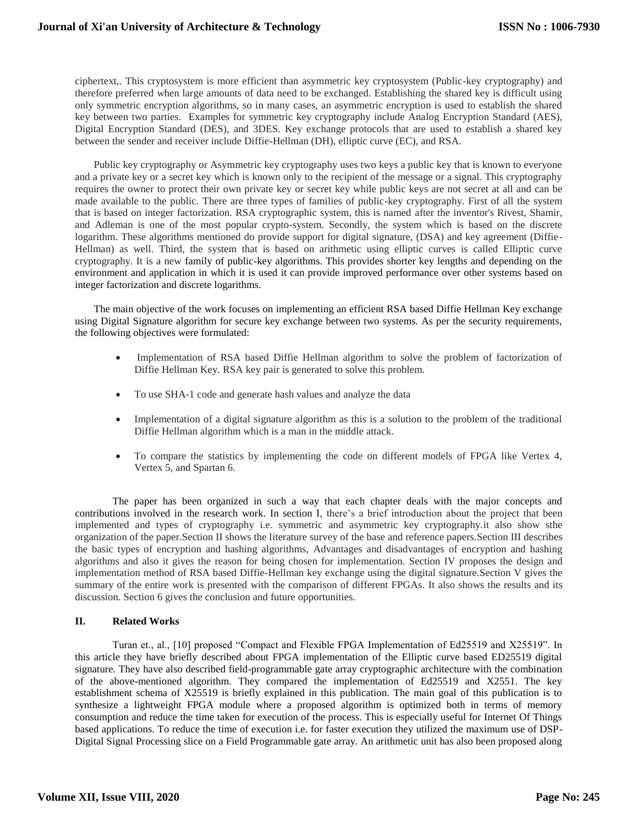ciphertext,. This cryptosystem is more efficient than asymmetric key cryptosystem (Public-key cryptography) and therefore preferred when large amounts of data need to be exchanged. Establishing the shared key is difficult using only symmetric encryption algorithms, so in many cases, an asymmetric encryption is used to establish the shared key between two parties. Examples for symmetric key cryptography include Analog Encryption Standard (AES), Digital Encryption Standard (DES), and 3DES. Key exchange protocols that are used to establish a shared key between the sender and receiver include Diffie-Hellman (DH), elliptic curve (EC), and RSA.

Public key cryptography or Asymmetric key cryptography uses two keys a public key that is known to everyone and a private key or a secret key which is known only to the recipient of the message or a signal. This cryptography requires the owner to protect their own private key or secret key while public keys are not secret at all and can be made available to the public. There are three types of families of public-key cryptography. First of all the system that is based on integer factorization. RSA cryptographic system, this is named after the inventor's Rivest, Shamir, and Adleman is one of the most popular crypto-system. Secondly, the system which is based on the discrete logarithm. These algorithms mentioned do provide support for digital signature, (DSA) and key agreement (Diffie-Hellman) as well. Third, the system that is based on arithmetic using elliptic curves is called Elliptic curve cryptography. It is a new family of public-key algorithms. This provides shorter key lengths and depending on the environment and application in which it is used it can provide improved performance over other systems based on integer factorization and discrete logarithms.

The main objective of the work focuses on implementing an efficient RSA based Diffie Hellman Key exchange using Digital Signature algorithm for secure key exchange between two systems. As per the security requirements, the following objectives were formulated:

- Implementation of RSA based Diffie Hellman algorithm to solve the problem of factorization of Diffie Hellman Key. RSA key pair is generated to solve this problem.
- To use SHA-1 code and generate hash values and analyze the data
- Implementation of a digital signature algorithm as this is a solution to the problem of the traditional Diffie Hellman algorithm which is a man in the middle attack.
- To compare the statistics by implementing the code on different models of FPGA like Vertex 4, Vertex 5, and Spartan 6.

The paper has been organized in such a way that each chapter deals with the major concepts and contributions involved in the research work. In section I, there's a brief introduction about the project that been implemented and types of cryptography i.e. symmetric and asymmetric key cryptography.it also show sthe organization of the paper.Section II shows the literature survey of the base and reference papers.Section III describes the basic types of encryption and hashing algorithms, Advantages and disadvantages of encryption and hashing algorithms and also it gives the reason for being chosen for implementation. Section IV proposes the design and implementation method of RSA based Diffie-Hellman key exchange using the digital signature.Section V gives the summary of the entire work is presented with the comparison of different FPGAs. It also shows the results and its discussion. Section 6 gives the conclusion and future opportunities.

#### **II. Related Works**

Turan et., al., [10] proposed "Compact and Flexible FPGA Implementation of Ed25519 and X25519". In this article they have briefly described about FPGA implementation of the Elliptic curve based ED25519 digital signature. They have also described field-programmable gate array cryptographic architecture with the combination of the above-mentioned algorithm. They compared the implementation of Ed25519 and X2551. The key establishment schema of X25519 is briefly explained in this publication. The main goal of this publication is to synthesize a lightweight FPGA module where a proposed algorithm is optimized both in terms of memory consumption and reduce the time taken for execution of the process. This is especially useful for Internet Of Things based applications. To reduce the time of execution i.e. for faster execution they utilized the maximum use of DSP-Digital Signal Processing slice on a Field Programmable gate array. An arithmetic unit has also been proposed along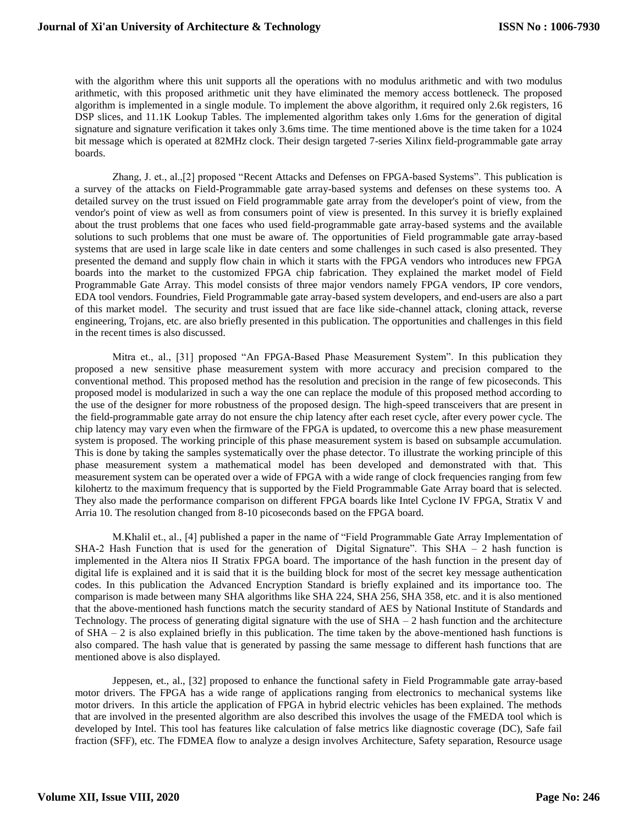with the algorithm where this unit supports all the operations with no modulus arithmetic and with two modulus arithmetic, with this proposed arithmetic unit they have eliminated the memory access bottleneck. The proposed algorithm is implemented in a single module. To implement the above algorithm, it required only 2.6k registers, 16 DSP slices, and 11.1K Lookup Tables. The implemented algorithm takes only 1.6ms for the generation of digital signature and signature verification it takes only 3.6ms time. The time mentioned above is the time taken for a 1024 bit message which is operated at 82MHz clock. Their design targeted 7-series Xilinx field-programmable gate array boards.

Zhang, J. et., al.,[2] proposed "Recent Attacks and Defenses on FPGA-based Systems". This publication is a survey of the attacks on Field-Programmable gate array-based systems and defenses on these systems too. A detailed survey on the trust issued on Field programmable gate array from the developer's point of view, from the vendor's point of view as well as from consumers point of view is presented. In this survey it is briefly explained about the trust problems that one faces who used field-programmable gate array-based systems and the available solutions to such problems that one must be aware of. The opportunities of Field programmable gate array-based systems that are used in large scale like in date centers and some challenges in such cased is also presented. They presented the demand and supply flow chain in which it starts with the FPGA vendors who introduces new FPGA boards into the market to the customized FPGA chip fabrication. They explained the market model of Field Programmable Gate Array. This model consists of three major vendors namely FPGA vendors, IP core vendors, EDA tool vendors. Foundries, Field Programmable gate array-based system developers, and end-users are also a part of this market model. The security and trust issued that are face like side-channel attack, cloning attack, reverse engineering, Trojans, etc. are also briefly presented in this publication. The opportunities and challenges in this field in the recent times is also discussed.

Mitra et., al., [31] proposed "An FPGA-Based Phase Measurement System". In this publication they proposed a new sensitive phase measurement system with more accuracy and precision compared to the conventional method. This proposed method has the resolution and precision in the range of few picoseconds. This proposed model is modularized in such a way the one can replace the module of this proposed method according to the use of the designer for more robustness of the proposed design. The high-speed transceivers that are present in the field-programmable gate array do not ensure the chip latency after each reset cycle, after every power cycle. The chip latency may vary even when the firmware of the FPGA is updated, to overcome this a new phase measurement system is proposed. The working principle of this phase measurement system is based on subsample accumulation. This is done by taking the samples systematically over the phase detector. To illustrate the working principle of this phase measurement system a mathematical model has been developed and demonstrated with that. This measurement system can be operated over a wide of FPGA with a wide range of clock frequencies ranging from few kilohertz to the maximum frequency that is supported by the Field Programmable Gate Array board that is selected. They also made the performance comparison on different FPGA boards like Intel Cyclone IV FPGA, Stratix V and Arria 10. The resolution changed from 8-10 picoseconds based on the FPGA board.

M.Khalil et., al., [4] published a paper in the name of "Field Programmable Gate Array Implementation of SHA-2 Hash Function that is used for the generation of Digital Signature". This SHA  $-$  2 hash function is implemented in the Altera nios II Stratix FPGA board. The importance of the hash function in the present day of digital life is explained and it is said that it is the building block for most of the secret key message authentication codes. In this publication the Advanced Encryption Standard is briefly explained and its importance too. The comparison is made between many SHA algorithms like SHA 224, SHA 256, SHA 358, etc. and it is also mentioned that the above-mentioned hash functions match the security standard of AES by National Institute of Standards and Technology. The process of generating digital signature with the use of  $SHA - 2$  hash function and the architecture of SHA – 2 is also explained briefly in this publication. The time taken by the above-mentioned hash functions is also compared. The hash value that is generated by passing the same message to different hash functions that are mentioned above is also displayed.

Jeppesen, et., al., [32] proposed to enhance the functional safety in Field Programmable gate array-based motor drivers. The FPGA has a wide range of applications ranging from electronics to mechanical systems like motor drivers. In this article the application of FPGA in hybrid electric vehicles has been explained. The methods that are involved in the presented algorithm are also described this involves the usage of the FMEDA tool which is developed by Intel. This tool has features like calculation of false metrics like diagnostic coverage (DC), Safe fail fraction (SFF), etc. The FDMEA flow to analyze a design involves Architecture, Safety separation, Resource usage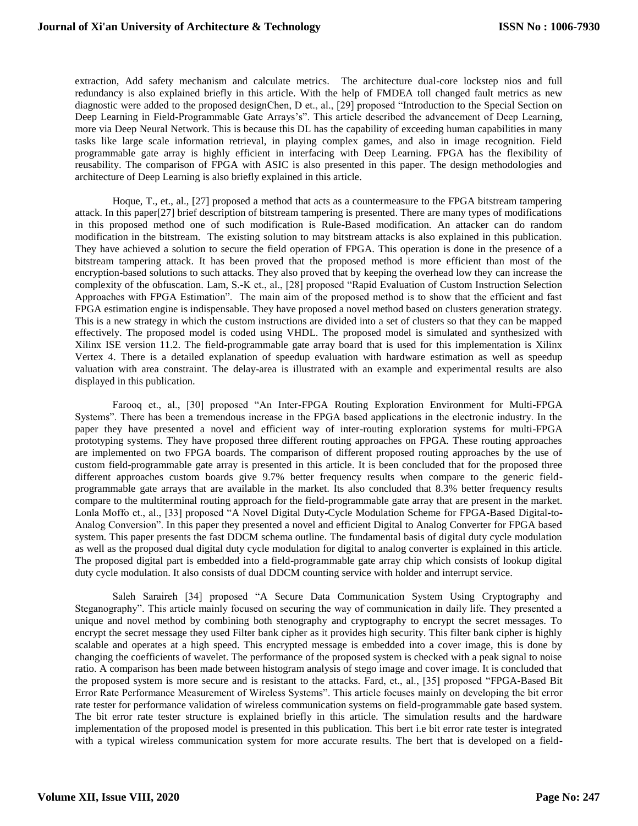extraction, Add safety mechanism and calculate metrics. The architecture dual-core lockstep nios and full redundancy is also explained briefly in this article. With the help of FMDEA toll changed fault metrics as new diagnostic were added to the proposed designChen, D et., al., [29] proposed "Introduction to the Special Section on Deep Learning in Field-Programmable Gate Arrays's". This article described the advancement of Deep Learning, more via Deep Neural Network. This is because this DL has the capability of exceeding human capabilities in many tasks like large scale information retrieval, in playing complex games, and also in image recognition. Field programmable gate array is highly efficient in interfacing with Deep Learning. FPGA has the flexibility of reusability. The comparison of FPGA with ASIC is also presented in this paper. The design methodologies and architecture of Deep Learning is also briefly explained in this article.

Hoque, T., et., al., [27] proposed a method that acts as a countermeasure to the FPGA bitstream tampering attack. In this paper[27] brief description of bitstream tampering is presented. There are many types of modifications in this proposed method one of such modification is Rule-Based modification. An attacker can do random modification in the bitstream. The existing solution to may bitstream attacks is also explained in this publication. They have achieved a solution to secure the field operation of FPGA. This operation is done in the presence of a bitstream tampering attack. It has been proved that the proposed method is more efficient than most of the encryption-based solutions to such attacks. They also proved that by keeping the overhead low they can increase the complexity of the obfuscation. Lam, S.-K et., al., [28] proposed "Rapid Evaluation of Custom Instruction Selection Approaches with FPGA Estimation". The main aim of the proposed method is to show that the efficient and fast FPGA estimation engine is indispensable. They have proposed a novel method based on clusters generation strategy. This is a new strategy in which the custom instructions are divided into a set of clusters so that they can be mapped effectively. The proposed model is coded using VHDL. The proposed model is simulated and synthesized with Xilinx ISE version 11.2. The field-programmable gate array board that is used for this implementation is Xilinx Vertex 4. There is a detailed explanation of speedup evaluation with hardware estimation as well as speedup valuation with area constraint. The delay-area is illustrated with an example and experimental results are also displayed in this publication.

Farooq et., al., [30] proposed "An Inter-FPGA Routing Exploration Environment for Multi-FPGA Systems". There has been a tremendous increase in the FPGA based applications in the electronic industry. In the paper they have presented a novel and efficient way of inter-routing exploration systems for multi-FPGA prototyping systems. They have proposed three different routing approaches on FPGA. These routing approaches are implemented on two FPGA boards. The comparison of different proposed routing approaches by the use of custom field-programmable gate array is presented in this article. It is been concluded that for the proposed three different approaches custom boards give 9.7% better frequency results when compare to the generic fieldprogrammable gate arrays that are available in the market. Its also concluded that 8.3% better frequency results compare to the multiterminal routing approach for the field-programmable gate array that are present in the market. Lonla Moffo et., al., [33] proposed "A Novel Digital Duty-Cycle Modulation Scheme for FPGA-Based Digital-to-Analog Conversion". In this paper they presented a novel and efficient Digital to Analog Converter for FPGA based system. This paper presents the fast DDCM schema outline. The fundamental basis of digital duty cycle modulation as well as the proposed dual digital duty cycle modulation for digital to analog converter is explained in this article. The proposed digital part is embedded into a field-programmable gate array chip which consists of lookup digital duty cycle modulation. It also consists of dual DDCM counting service with holder and interrupt service.

Saleh Saraireh [34] proposed "A Secure Data Communication System Using Cryptography and Steganography". This article mainly focused on securing the way of communication in daily life. They presented a unique and novel method by combining both stenography and cryptography to encrypt the secret messages. To encrypt the secret message they used Filter bank cipher as it provides high security. This filter bank cipher is highly scalable and operates at a high speed. This encrypted message is embedded into a cover image, this is done by changing the coefficients of wavelet. The performance of the proposed system is checked with a peak signal to noise ratio. A comparison has been made between histogram analysis of stego image and cover image. It is concluded that the proposed system is more secure and is resistant to the attacks. Fard, et., al., [35] proposed "FPGA-Based Bit Error Rate Performance Measurement of Wireless Systems". This article focuses mainly on developing the bit error rate tester for performance validation of wireless communication systems on field-programmable gate based system. The bit error rate tester structure is explained briefly in this article. The simulation results and the hardware implementation of the proposed model is presented in this publication. This bert i.e bit error rate tester is integrated with a typical wireless communication system for more accurate results. The bert that is developed on a field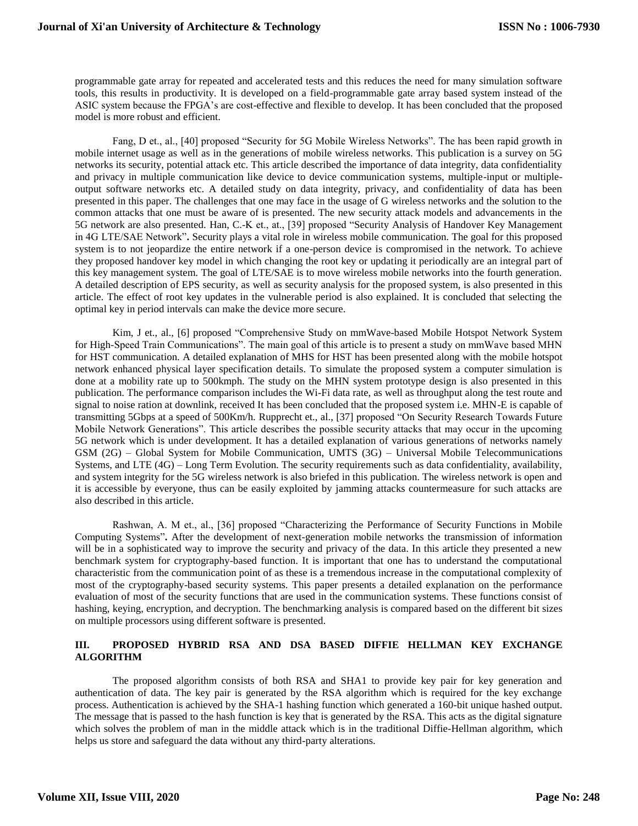programmable gate array for repeated and accelerated tests and this reduces the need for many simulation software tools, this results in productivity. It is developed on a field-programmable gate array based system instead of the ASIC system because the FPGA's are cost-effective and flexible to develop. It has been concluded that the proposed model is more robust and efficient.

Fang, D et., al., [40] proposed "Security for 5G Mobile Wireless Networks". The has been rapid growth in mobile internet usage as well as in the generations of mobile wireless networks. This publication is a survey on 5G networks its security, potential attack etc. This article described the importance of data integrity, data confidentiality and privacy in multiple communication like device to device communication systems, multiple-input or multipleoutput software networks etc. A detailed study on data integrity, privacy, and confidentiality of data has been presented in this paper. The challenges that one may face in the usage of G wireless networks and the solution to the common attacks that one must be aware of is presented. The new security attack models and advancements in the 5G network are also presented. Han, C.-K et., at., [39] proposed "Security Analysis of Handover Key Management in 4G LTE/SAE Network"**.** Security plays a vital role in wireless mobile communication. The goal for this proposed system is to not jeopardize the entire network if a one-person device is compromised in the network. To achieve they proposed handover key model in which changing the root key or updating it periodically are an integral part of this key management system. The goal of LTE/SAE is to move wireless mobile networks into the fourth generation. A detailed description of EPS security, as well as security analysis for the proposed system, is also presented in this article. The effect of root key updates in the vulnerable period is also explained. It is concluded that selecting the optimal key in period intervals can make the device more secure.

Kim, J et., al., [6] proposed "Comprehensive Study on mmWave-based Mobile Hotspot Network System for High-Speed Train Communications". The main goal of this article is to present a study on mmWave based MHN for HST communication. A detailed explanation of MHS for HST has been presented along with the mobile hotspot network enhanced physical layer specification details. To simulate the proposed system a computer simulation is done at a mobility rate up to 500kmph. The study on the MHN system prototype design is also presented in this publication. The performance comparison includes the Wi-Fi data rate, as well as throughput along the test route and signal to noise ration at downlink, received It has been concluded that the proposed system i.e. MHN-E is capable of transmitting 5Gbps at a speed of 500Km/h. Rupprecht et., al., [37] proposed "On Security Research Towards Future Mobile Network Generations". This article describes the possible security attacks that may occur in the upcoming 5G network which is under development. It has a detailed explanation of various generations of networks namely GSM (2G) – Global System for Mobile Communication, UMTS (3G) – Universal Mobile Telecommunications Systems, and LTE (4G) – Long Term Evolution. The security requirements such as data confidentiality, availability, and system integrity for the 5G wireless network is also briefed in this publication. The wireless network is open and it is accessible by everyone, thus can be easily exploited by jamming attacks countermeasure for such attacks are also described in this article.

Rashwan, A. M et., al., [36] proposed "Characterizing the Performance of Security Functions in Mobile Computing Systems"**.** After the development of next-generation mobile networks the transmission of information will be in a sophisticated way to improve the security and privacy of the data. In this article they presented a new benchmark system for cryptography-based function. It is important that one has to understand the computational characteristic from the communication point of as these is a tremendous increase in the computational complexity of most of the cryptography-based security systems. This paper presents a detailed explanation on the performance evaluation of most of the security functions that are used in the communication systems. These functions consist of hashing, keying, encryption, and decryption. The benchmarking analysis is compared based on the different bit sizes on multiple processors using different software is presented.

## **III. PROPOSED HYBRID RSA AND DSA BASED DIFFIE HELLMAN KEY EXCHANGE ALGORITHM**

The proposed algorithm consists of both RSA and SHA1 to provide key pair for key generation and authentication of data. The key pair is generated by the RSA algorithm which is required for the key exchange process. Authentication is achieved by the SHA-1 hashing function which generated a 160-bit unique hashed output. The message that is passed to the hash function is key that is generated by the RSA. This acts as the digital signature which solves the problem of man in the middle attack which is in the traditional Diffie-Hellman algorithm, which helps us store and safeguard the data without any third-party alterations.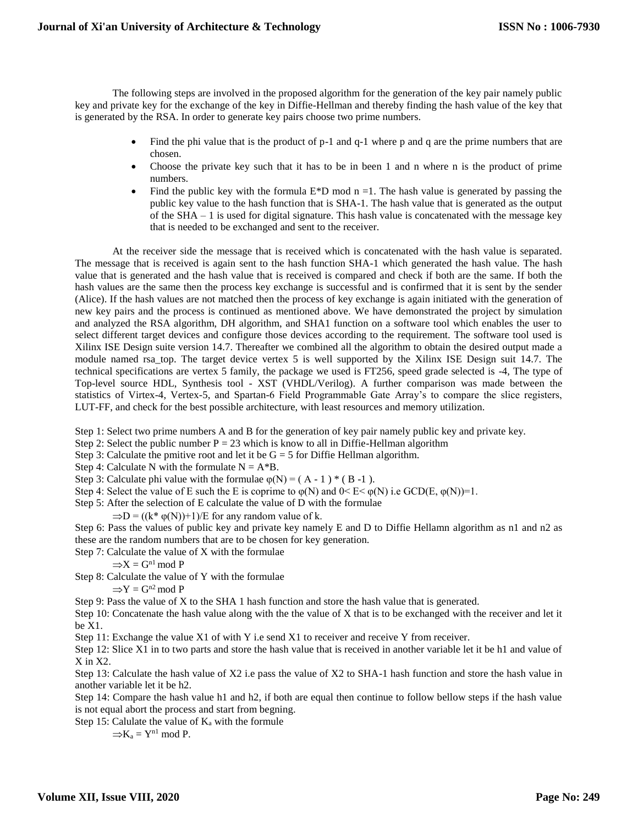The following steps are involved in the proposed algorithm for the generation of the key pair namely public key and private key for the exchange of the key in Diffie-Hellman and thereby finding the hash value of the key that is generated by the RSA. In order to generate key pairs choose two prime numbers.

- Find the phi value that is the product of p-1 and q-1 where p and q are the prime numbers that are chosen.
- Choose the private key such that it has to be in been 1 and n where n is the product of prime numbers.
- Find the public key with the formula  $E*D \mod n = 1$ . The hash value is generated by passing the public key value to the hash function that is SHA-1. The hash value that is generated as the output of the  $SHA - 1$  is used for digital signature. This hash value is concatenated with the message key that is needed to be exchanged and sent to the receiver.

At the receiver side the message that is received which is concatenated with the hash value is separated. The message that is received is again sent to the hash function SHA-1 which generated the hash value. The hash value that is generated and the hash value that is received is compared and check if both are the same. If both the hash values are the same then the process key exchange is successful and is confirmed that it is sent by the sender (Alice). If the hash values are not matched then the process of key exchange is again initiated with the generation of new key pairs and the process is continued as mentioned above. We have demonstrated the project by simulation and analyzed the RSA algorithm, DH algorithm, and SHA1 function on a software tool which enables the user to select different target devices and configure those devices according to the requirement. The software tool used is Xilinx ISE Design suite version 14.7. Thereafter we combined all the algorithm to obtain the desired output made a module named rsa\_top. The target device vertex 5 is well supported by the Xilinx ISE Design suit 14.7. The technical specifications are vertex 5 family, the package we used is FT256, speed grade selected is -4, The type of Top-level source HDL, Synthesis tool - XST (VHDL/Verilog). A further comparison was made between the statistics of Virtex-4, Vertex-5, and Spartan-6 Field Programmable Gate Array's to compare the slice registers, LUT-FF, and check for the best possible architecture, with least resources and memory utilization.

Step 1: Select two prime numbers A and B for the generation of key pair namely public key and private key.

Step 2: Select the public number  $P = 23$  which is know to all in Diffie-Hellman algorithm

Step 3: Calculate the pmitive root and let it be  $G = 5$  for Diffie Hellman algorithm.

Step 4: Calculate N with the formulate  $N = A*B$ .

- Step 3: Calculate phi value with the formulae  $\varphi(N) = (A 1) * (B 1)$ .
- Step 4: Select the value of E such the E is coprime to  $\varphi(N)$  and  $0 \le E \le \varphi(N)$  i.e GCD(E,  $\varphi(N)$ )=1.
- Step 5: After the selection of E calculate the value of D with the formulae

 $\Rightarrow$ D = ((k\*  $\varphi$ (N))+1)/E for any random value of k.

Step 6: Pass the values of public key and private key namely E and D to Diffie Hellamn algorithm as n1 and n2 as these are the random numbers that are to be chosen for key generation.

Step 7: Calculate the value of X with the formulae

 $\Rightarrow X = G^{n1} \mod P$ 

Step 8: Calculate the value of Y with the formulae

 $\Rightarrow$ Y = G<sup>n2</sup> mod P

Step 9: Pass the value of X to the SHA 1 hash function and store the hash value that is generated.

Step 10: Concatenate the hash value along with the the value of X that is to be exchanged with the receiver and let it be X1.

Step 11: Exchange the value X1 of with Y i.e send X1 to receiver and receive Y from receiver.

Step 12: Slice X1 in to two parts and store the hash value that is received in another variable let it be h1 and value of  $X$  in  $X2$ .

Step 13: Calculate the hash value of X2 i.e pass the value of X2 to SHA-1 hash function and store the hash value in another variable let it be h2.

Step 14: Compare the hash value h1 and h2, if both are equal then continue to follow bellow steps if the hash value is not equal abort the process and start from begning.

Step 15: Calulate the value of  $K_a$  with the formule

 $\Rightarrow$ K<sub>a</sub> = Y<sup>n1</sup> mod P.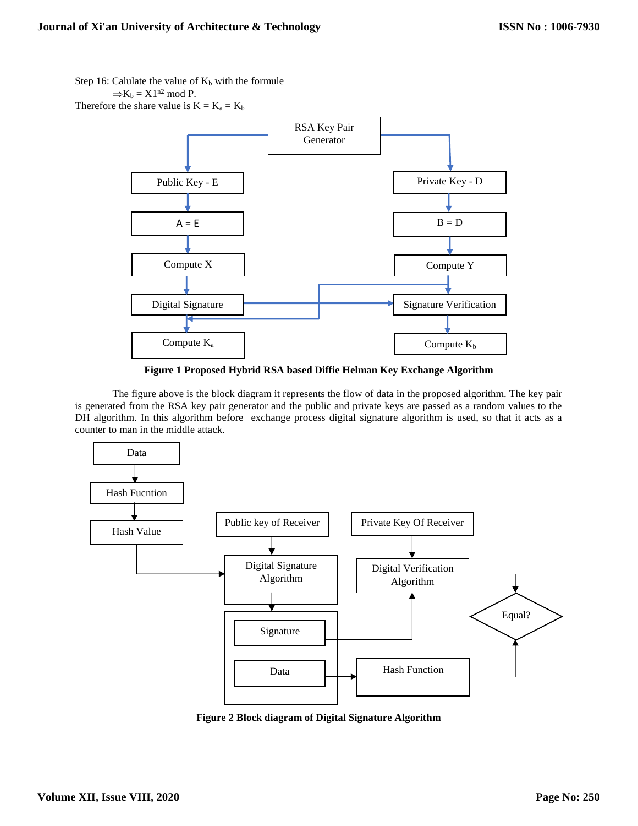Step 16: Calulate the value of  $K_b$  with the formule  $\Rightarrow$ K<sub>b</sub> = X1<sup>n2</sup> mod P. Therefore the share value is  $K = K_a = K_b$ RSA Key Pair Generator Public Key - E Private Key - D  $A = E$  B = D Compute X Compute Y Digital Signature  $\qquad \qquad$  Signature Verification  $\text{Compute } K_a$   $\qquad \qquad$   $\qquad \qquad$   $\qquad \qquad$   $\qquad \qquad \text{Compute } K_b$ 

**Figure 1 Proposed Hybrid RSA based Diffie Helman Key Exchange Algorithm**

The figure above is the block diagram it represents the flow of data in the proposed algorithm. The key pair is generated from the RSA key pair generator and the public and private keys are passed as a random values to the DH algorithm. In this algorithm before exchange process digital signature algorithm is used, so that it acts as a counter to man in the middle attack.



**Figure 2 Block diagram of Digital Signature Algorithm**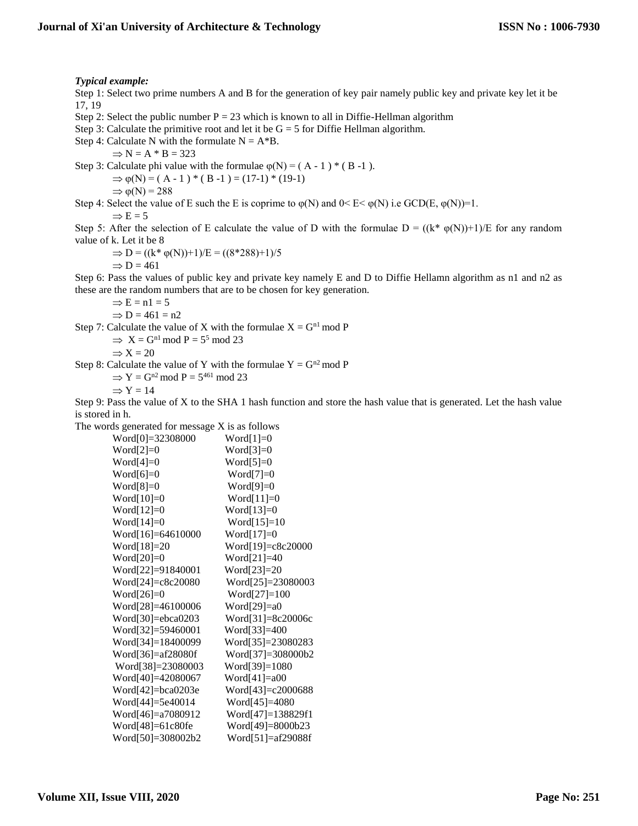#### *Typical example:*

Step 1: Select two prime numbers A and B for the generation of key pair namely public key and private key let it be 17, 19

Step 2: Select the public number  $P = 23$  which is known to all in Diffie-Hellman algorithm

Step 3: Calculate the primitive root and let it be  $G = 5$  for Diffie Hellman algorithm.

Step 4: Calculate N with the formulate  $N = A*B$ .

 $\Rightarrow$  N = A  $*$  B = 323

Step 3: Calculate phi value with the formulae  $\varphi(N) = (A - 1) * (B - 1)$ .

 $\Rightarrow \varphi(N) = (A - 1) * (B - 1) = (17 - 1) * (19 - 1)$ 

 $\Rightarrow \varphi(N) = 288$ 

Step 4: Select the value of E such the E is coprime to  $\varphi(N)$  and  $0 \le E \le \varphi(N)$  i.e GCD(E,  $\varphi(N)$ )=1.

#### $\Rightarrow$  E = 5

Step 5: After the selection of E calculate the value of D with the formulae  $D = ((k^* \varphi(N))+1)/E$  for any random value of k. Let it be 8

 $\Rightarrow$  D = ((k\* φ(N))+1)/E = ((8\*288)+1)/5  $\Rightarrow$  D = 461

Step 6: Pass the values of public key and private key namely E and D to Diffie Hellamn algorithm as n1 and n2 as these are the random numbers that are to be chosen for key generation.

 $\Rightarrow$  E = n1 = 5

$$
\Rightarrow D = 461 = n2
$$

Step 7: Calculate the value of X with the formulae  $X = G<sup>n1</sup>$  mod P

 $\Rightarrow$  X = G<sup>n1</sup> mod P = 5<sup>5</sup> mod 23

$$
\Rightarrow X = 20
$$

Step 8: Calculate the value of Y with the formulae  $Y = G^{n2} \mod P$ 

 $\Rightarrow$  Y = G<sup>n2</sup> mod P = 5<sup>461</sup> mod 23

$$
\Rightarrow Y = 14
$$

Step 9: Pass the value of X to the SHA 1 hash function and store the hash value that is generated. Let the hash value is stored in h.

The words generated for message X is as follows

Word[0]=32308000 Word[1]=0 Word[2]=0 Word[3]=0 Word[4]=0 Word[5]=0 Word[6]=0 Word[7]=0 Word[8]=0 Word[9]=0 Word[10]=0 Word[11]=0 Word[12]=0 Word[13]=0 Word[14]=0 Word[15]=10 Word[16]=64610000 Word[17]=0 Word[18]=20 Word[19]=c8c20000 Word[20]=0 Word[21]=40 Word[22]=91840001 Word[23]=20 Word[24]=c8c20080 Word[25]=23080003 Word[26]=0 Word[27]=100 Word[28]=46100006 Word[29]=a0 Word[30]=ebca0203 Word[31]=8c20006c Word[32]=59460001 Word[33]=400 Word[34]=18400099 Word[35]=23080283 Word[36]=af28080f Word[37]=308000b2 Word[38]=23080003 Word[39]=1080 Word[40]=42080067 Word[41]=a00 Word[42]=bca0203e Word[43]=c2000688 Word[44]=5e40014 Word[45]=4080 Word[46]=a7080912 Word[47]=138829f1 Word[48]=61c80fe Word[49]=8000b23 Word[50]=308002b2 Word[51]=af29088f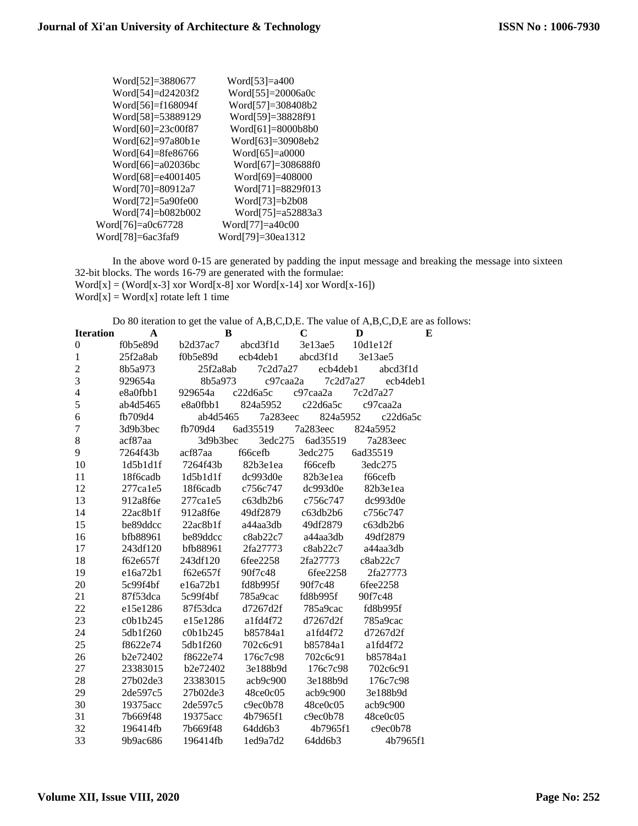| Word[52]=3880677     | Word[53]=a400          |
|----------------------|------------------------|
| Word[54]=d24203f2    | Word $[55] = 20006a0c$ |
| Word[56]=f168094f    | Word[57]=308408b2      |
| Word[58]=53889129    | Word[59]=38828f91      |
| Word[60]=23c00f87    | Word[61]=8000b8b0      |
| Word[62]=97a80b1e    | Word[63]=30908eb2      |
| Word[64]=8fe86766    | Word $[65] = a0000$    |
| Word $[66]=a02036bc$ | Word[67]=308688f0      |
| Word[68]=e4001405    | Word[69]=408000        |
| Word[70]=80912a7     | Word[71]=8829f013      |
| Word[72]=5a90fe00    | Word $[73]=b2b08$      |
| Word[74]=b082b002    | Word[75]=a52883a3      |
| Word[76]=a0c67728    | Word[77]=a40c00        |
| Word[78]=6ac3faf9    | Word[79]=30ea1312      |

In the above word 0-15 are generated by padding the input message and breaking the message into sixteen 32-bit blocks. The words 16-79 are generated with the formulae:  $Word[x] = (Word[x-3] xor Word[x-8] xor Word[x-14] xor Word[x-16])$  $Word[x] = Word[x]$  rotate left 1 time

Do 80 iteration to get the value of A,B,C,D,E. The value of A,B,C,D,E are as follows:

| <b>Iteration</b>        | $\mathbf{A}$   | B              |          | $\mathbf C$ | D        | E |
|-------------------------|----------------|----------------|----------|-------------|----------|---|
| $\boldsymbol{0}$        | f0b5e89d       | b2d37ac7       | abcd3f1d | 3e13ae5     | 10d1e12f |   |
| $\mathbf{1}$            | 25f2a8ab       | f0b5e89d       | ecb4deb1 | abcd3f1d    | 3e13ae5  |   |
| $\overline{c}$          | 8b5a973        | 25f2a8ab       | 7c2d7a27 | ecb4deb1    | abcd3f1d |   |
| $\overline{3}$          | 929654a        | 8b5a973        | c97caa2a | 7c2d7a27    | ecb4deb1 |   |
| $\overline{\mathbf{4}}$ | e8a0fbb1       | 929654a        | c22d6a5c | c97caa2a    | 7c2d7a27 |   |
| 5                       | ab4d5465       | e8a0fbb1       | 824a5952 | c22d6a5c    | c97caa2a |   |
| 6                       | fb709d4        | ab4d5465       | 7a283eec | 824a5952    | c22d6a5c |   |
| $\overline{7}$          | 3d9b3bec       | fb709d4        | 6ad35519 | 7a283eec    | 824a5952 |   |
| $8\,$                   | acf87aa        | 3d9b3bec       | 3edc275  | 6ad35519    | 7a283eec |   |
| 9                       | 7264f43b       | acf87aa        | f66cefb  | 3edc275     | 6ad35519 |   |
| 10                      | 1d5b1d1f       | 7264f43b       | 82b3e1ea | f66cefb     | 3edc275  |   |
| 11                      | 18f6cadb       | 1d5b1d1f       | dc993d0e | 82b3e1ea    | f66cefb  |   |
| 12                      | $277$ cale $5$ | 18f6cadb       | c756c747 | dc993d0e    | 82b3e1ea |   |
| 13                      | 912a8f6e       | $277$ cale $5$ | c63db2b6 | c756c747    | dc993d0e |   |
| 14                      | 22ac8b1f       | 912a8f6e       | 49df2879 | c63db2b6    | c756c747 |   |
| 15                      | be89ddcc       | 22ac8b1f       | a44aa3db | 49df2879    | c63db2b6 |   |
| 16                      | bfb88961       | be89ddcc       | c8ab22c7 | a44aa3db    | 49df2879 |   |
| 17                      | 243df120       | bfb88961       | 2fa27773 | c8ab22c7    | a44aa3db |   |
| 18                      | f62e657f       | 243df120       | 6fee2258 | 2fa27773    | c8ab22c7 |   |
| 19                      | e16a72b1       | f62e657f       | 90f7c48  | 6fee2258    | 2fa27773 |   |
| 20                      | 5c99f4bf       | e16a72b1       | fd8b995f | 90f7c48     | 6fee2258 |   |
| 21                      | 87f53dca       | 5c99f4bf       | 785a9cac | fd8b995f    | 90f7c48  |   |
| 22                      | e15e1286       | 87f53dca       | d7267d2f | 785a9cac    | fd8b995f |   |
| 23                      | c0b1b245       | e15e1286       | a1fd4f72 | d7267d2f    | 785a9cac |   |
| 24                      | 5db1f260       | c0b1b245       | b85784a1 | a1fd4f72    | d7267d2f |   |
| 25                      | f8622e74       | 5db1f260       | 702c6c91 | b85784a1    | a1fd4f72 |   |
| 26                      | b2e72402       | f8622e74       | 176c7c98 | 702c6c91    | b85784a1 |   |
| 27                      | 23383015       | b2e72402       | 3e188b9d | 176c7c98    | 702c6c91 |   |
| 28                      | 27b02de3       | 23383015       | acb9c900 | 3e188b9d    | 176c7c98 |   |
| 29                      | 2de597c5       | 27b02de3       | 48ce0c05 | acb9c900    | 3e188b9d |   |
| 30                      | 19375acc       | 2de597c5       | c9ec0b78 | 48ce0c05    | acb9c900 |   |
| 31                      | 7b669f48       | 19375acc       | 4b7965f1 | c9ec0b78    | 48ce0c05 |   |
| 32                      | 196414fb       | 7b669f48       | 64dd6b3  | 4b7965f1    | c9ec0b78 |   |
| 33                      | 9b9ac686       | 196414fb       | 1ed9a7d2 | 64dd6b3     | 4b7965f1 |   |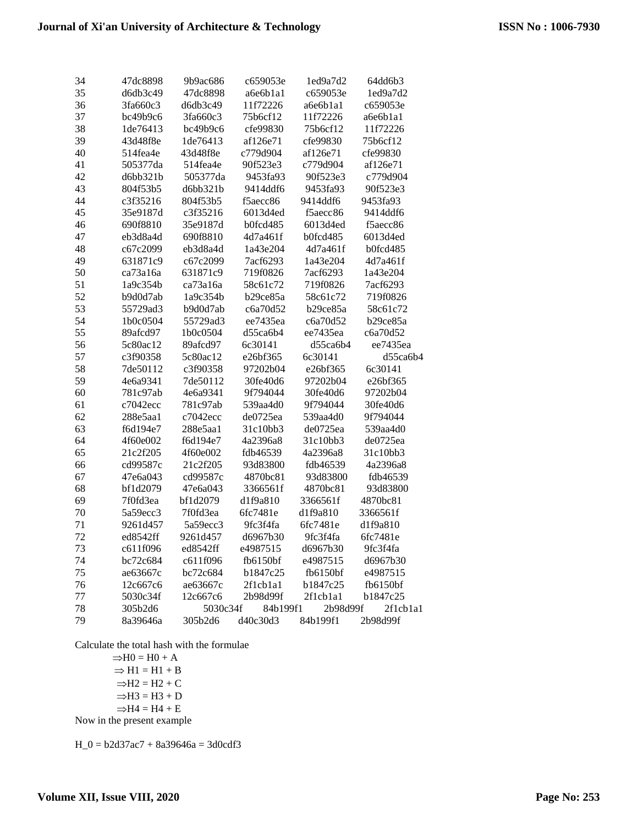| 34       | 47dc8898 | 9b9ac686 | c659053e        | 1ed9a7d2        | 64dd6b3         |
|----------|----------|----------|-----------------|-----------------|-----------------|
| 35       | d6db3c49 | 47dc8898 | a6e6b1a1        | c659053e        | 1ed9a7d2        |
| 36       | 3fa660c3 | d6db3c49 | 11f72226        | a6e6b1a1        | c659053e        |
| 37       | bc49b9c6 | 3fa660c3 | 75b6cf12        | 11f72226        | a6e6b1a1        |
| 38       | 1de76413 | bc49b9c6 | cfe99830        | 75b6cf12        | 11f72226        |
| 39       | 43d48f8e | 1de76413 | af126e71        | cfe99830        | 75b6cf12        |
| 40       | 514fea4e | 43d48f8e | c779d904        | af126e71        | cfe99830        |
| 41       | 505377da | 514fea4e | 90f523e3        | c779d904        | af126e71        |
| 42       | d6bb321b | 505377da | 9453fa93        | 90f523e3        | c779d904        |
| 43       | 804f53b5 | d6bb321b | 9414ddf6        | 9453fa93        | 90f523e3        |
| 44       | c3f35216 | 804f53b5 | f5aecc86        | 9414ddf6        | 9453fa93        |
| 45       | 35e9187d | c3f35216 | 6013d4ed        | f5aecc86        | 9414ddf6        |
| 46       | 690f8810 | 35e9187d | <b>b0fcd485</b> | 6013d4ed        | f5aecc86        |
| 47       | eb3d8a4d | 690f8810 | 4d7a461f        | <b>b0fcd485</b> | 6013d4ed        |
| 48       | c67c2099 | eb3d8a4d | 1a43e204        | 4d7a461f        | <b>b0fcd485</b> |
| 49       | 631871c9 | c67c2099 | 7acf6293        | 1a43e204        | 4d7a461f        |
| 50       | ca73a16a | 631871c9 | 719f0826        | 7acf6293        | 1a43e204        |
| 51       | 1a9c354b | ca73a16a | 58c61c72        | 719f0826        | 7acf6293        |
| 52       | b9d0d7ab | 1a9c354b | b29ce85a        | 58c61c72        | 719f0826        |
| 53       | 55729ad3 | b9d0d7ab | c6a70d52        | b29ce85a        | 58c61c72        |
| 54       | 1b0c0504 | 55729ad3 | ee7435ea        | c6a70d52        | b29ce85a        |
| 55       | 89afcd97 | 1b0c0504 | d55ca6b4        | ee7435ea        | c6a70d52        |
| 56       | 5c80ac12 | 89afcd97 | 6c30141         | d55ca6b4        | ee7435ea        |
| 57       | c3f90358 | 5c80ac12 | e26bf365        | 6c30141         | d55ca6b4        |
| 58       | 7de50112 | c3f90358 | 97202b04        | e26bf365        | 6c30141         |
| 59       | 4e6a9341 | 7de50112 | 30fe40d6        | 97202b04        | e26bf365        |
| 60       | 781c97ab | 4e6a9341 | 9f794044        | 30fe40d6        | 97202b04        |
| 61       | c7042ecc | 781c97ab | 539aa4d0        | 9f794044        | 30fe40d6        |
| 62       | 288e5aa1 | c7042ecc | de0725ea        | 539aa4d0        | 9f794044        |
| 63       | f6d194e7 | 288e5aa1 | 31c10bb3        | de0725ea        | 539aa4d0        |
| 64       | 4f60e002 | f6d194e7 | 4a2396a8        | 31c10bb3        | de0725ea        |
| 65       | 21c2f205 | 4f60e002 | fdb46539        | 4a2396a8        | 31c10bb3        |
| 66       | cd99587c | 21c2f205 | 93d83800        | fdb46539        | 4a2396a8        |
| 67       | 47e6a043 | cd99587c | 4870bc81        | 93d83800        | fdb46539        |
| 68       | bf1d2079 | 47e6a043 | 3366561f        | 4870bc81        | 93d83800        |
| 69       | 7f0fd3ea | bf1d2079 | d1f9a810        | 3366561f        | 4870bc81        |
| 70       | 5a59ecc3 | 7f0fd3ea | 6fc7481e        | d1f9a810        | 3366561f        |
| 71       | 9261d457 | 5a59ecc3 | 9fc3f4fa        | 6fc7481e        | d1f9a810        |
| 72       | ed8542ff | 9261d457 | d6967b30        | 9fc3f4fa        | 6fc7481e        |
|          | c611f096 | ed8542ff | e4987515        | d6967b30        | 9fc3f4fa        |
| 73<br>74 | bc72c684 | c611f096 | fb6150bf        | e4987515        | d6967b30        |
| 75       | ae63667c | bc72c684 | b1847c25        | fb6150bf        | e4987515        |
| 76       | 12c667c6 | ae63667c | 2f1cb1a1        | b1847c25        | fb6150bf        |
| 77       | 5030c34f | 12c667c6 | 2b98d99f        | 2f1cb1a1        | b1847c25        |
| 78       | 305b2d6  | 5030c34f | 84b199f1        | 2b98d99f        | 2f1cb1a1        |
| 79       | 8a39646a | 305b2d6  | d40c30d3        | 84b199f1        | 2b98d99f        |
|          |          |          |                 |                 |                 |

Calculate the total hash with the formulae

 $\Rightarrow$ H0 = H0 + A  $\Rightarrow$  H1 = H1 + B  $\Rightarrow$ H2 = H2 + C  $\Rightarrow$ H3 = H3 + D  $\Rightarrow$ H4 = H4 + E

Now in the present example

 $H_0 = b2d37ac7 + 8a39646a = 3d0cdf3$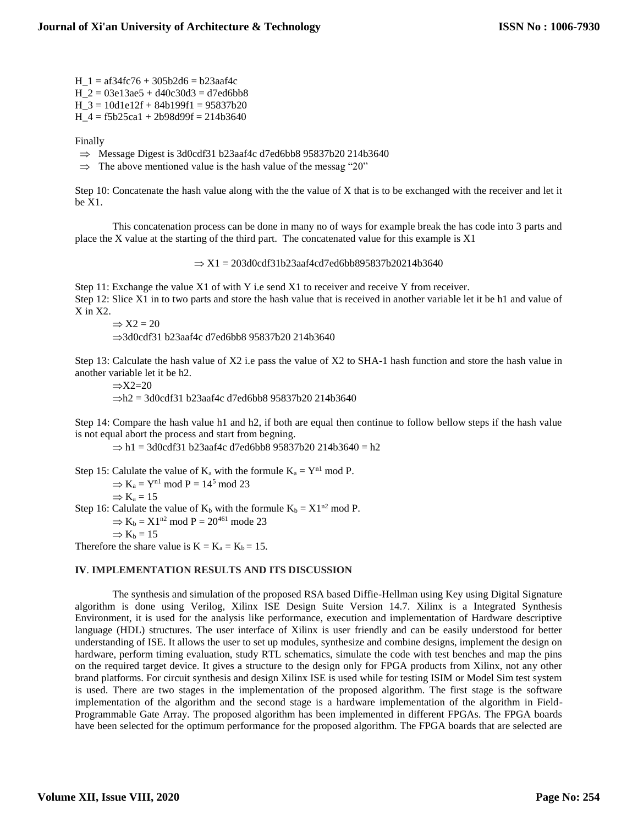$H_1 = af34fc76 + 305b2d6 = b23aaf4c$ H  $2 = 03e13ae5 + d40c30d3 = d7ed6bb8$  $H_3 = 10d1e12f + 84b199f1 = 95837b20$  $H_4 = f5b25ca1 + 2b98d99f = 214b3640$ 

Finally

- $\Rightarrow$  Message Digest is 3d0cdf31 b23aaf4c d7ed6bb8 95837b20 214b3640
- $\Rightarrow$  The above mentioned value is the hash value of the messag "20"

Step 10: Concatenate the hash value along with the the value of X that is to be exchanged with the receiver and let it be X1.

This concatenation process can be done in many no of ways for example break the has code into 3 parts and place the X value at the starting of the third part. The concatenated value for this example is X1

 $\Rightarrow$  X1 = 203d0cdf31b23aaf4cd7ed6bb895837b20214b3640

Step 11: Exchange the value X1 of with Y i.e send X1 to receiver and receive Y from receiver. Step 12: Slice X1 in to two parts and store the hash value that is received in another variable let it be h1 and value of X in X2.

 $\Rightarrow$  X2 = 20

 $\Rightarrow$ 3d0cdf31 b23aaf4c d7ed6bb8 95837b20 214b3640

Step 13: Calculate the hash value of X2 i.e pass the value of X2 to SHA-1 hash function and store the hash value in another variable let it be h2.

 $\Rightarrow$ X2=20  $\Rightarrow$ h2 = 3d0cdf31 b23aaf4c d7ed6bb8 95837b20 214b3640

Step 14: Compare the hash value h1 and h2, if both are equal then continue to follow bellow steps if the hash value is not equal abort the process and start from begning.

 $\Rightarrow$  h1 = 3d0cdf31 b23aaf4c d7ed6bb8 95837b20 214b3640 = h2

Step 15: Calulate the value of  $K_a$  with the formule  $K_a = Y^{n1} \mod P$ .  $\Rightarrow$  K<sub>a</sub> = Y<sup>n1</sup> mod P = 14<sup>5</sup> mod 23  $\Rightarrow$  K<sub>a</sub> = 15

Step 16: Calulate the value of  $K_b$  with the formule  $K_b = X1^{n2}$  mod P.

 $\Rightarrow$  K<sub>b</sub> = X1<sup>n2</sup> mod P = 20<sup>461</sup> mode 23

 $\Rightarrow$  K<sub>b</sub> = 15

Therefore the share value is  $K = K_a = K_b = 15$ .

#### **IV**. **IMPLEMENTATION RESULTS AND ITS DISCUSSION**

The synthesis and simulation of the proposed RSA based Diffie-Hellman using Key using Digital Signature algorithm is done using Verilog, Xilinx ISE Design Suite Version 14.7. Xilinx is a Integrated Synthesis Environment, it is used for the analysis like performance, execution and implementation of Hardware descriptive language (HDL) structures. The user interface of Xilinx is user friendly and can be easily understood for better understanding of ISE. It allows the user to set up modules, synthesize and combine designs, implement the design on hardware, perform timing evaluation, study RTL schematics, simulate the code with test benches and map the pins on the required target device. It gives a structure to the design only for FPGA products from Xilinx, not any other brand platforms. For circuit synthesis and design Xilinx ISE is used while for testing ISIM or Model Sim test system is used. There are two stages in the implementation of the proposed algorithm. The first stage is the software implementation of the algorithm and the second stage is a hardware implementation of the algorithm in Field-Programmable Gate Array. The proposed algorithm has been implemented in different FPGAs. The FPGA boards have been selected for the optimum performance for the proposed algorithm. The FPGA boards that are selected are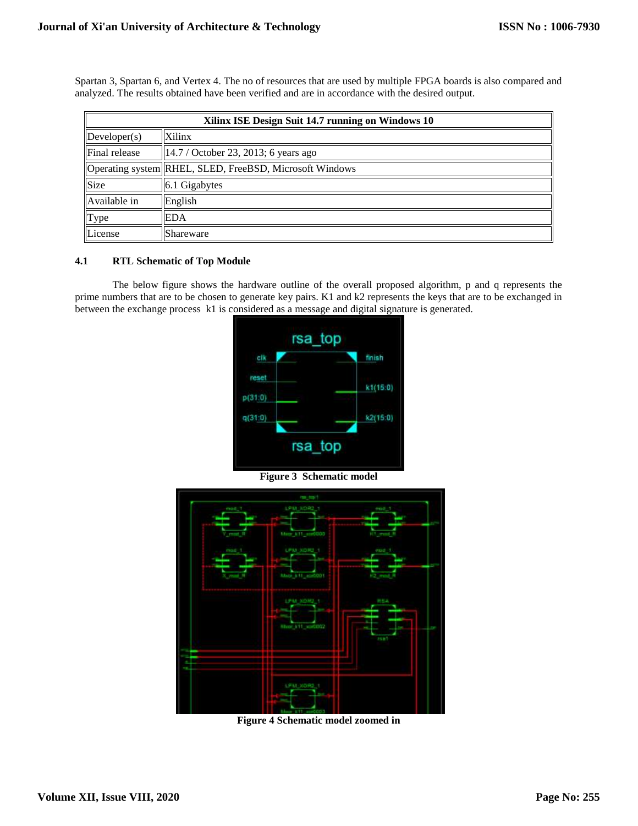| Xilinx ISE Design Suit 14.7 running on Windows 10 |                                                          |  |  |  |  |  |
|---------------------------------------------------|----------------------------------------------------------|--|--|--|--|--|
| $\Delta$                                          | Xilinx                                                   |  |  |  |  |  |
| Final release                                     | $ 14.7 /$ October 23, 2013; 6 years ago                  |  |  |  |  |  |
|                                                   | Operating system  RHEL, SLED, FreeBSD, Microsoft Windows |  |  |  |  |  |
| Size                                              | 6.1 Gigabytes                                            |  |  |  |  |  |
| Available in                                      | English                                                  |  |  |  |  |  |
| Type                                              | EDA                                                      |  |  |  |  |  |
| License                                           | Shareware                                                |  |  |  |  |  |

Spartan 3, Spartan 6, and Vertex 4. The no of resources that are used by multiple FPGA boards is also compared and analyzed. The results obtained have been verified and are in accordance with the desired output.

## **4.1 RTL Schematic of Top Module**

The below figure shows the hardware outline of the overall proposed algorithm, p and q represents the prime numbers that are to be chosen to generate key pairs. K1 and k2 represents the keys that are to be exchanged in between the exchange process k1 is considered as a message and digital signature is generated.





**Figure 4 Schematic model zoomed in**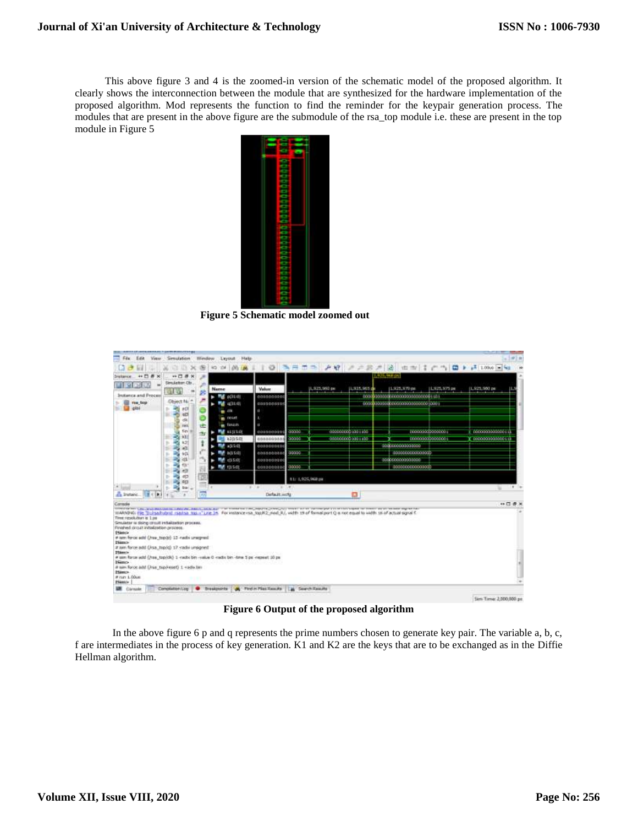This above figure 3 and 4 is the zoomed-in version of the schematic model of the proposed algorithm. It clearly shows the interconnection between the module that are synthesized for the hardware implementation of the proposed algorithm. Mod represents the function to find the reminder for the keypair generation process. The modules that are present in the above figure are the submodule of the rsa\_top module i.e. these are present in the top module in Figure 5



**Figure 5 Schematic model zoomed out**

| Edit<br><b>VIEW</b>                                                                                                                                                                                                                                                                                                                                                                                                                                            | Smulation                               | Wimdow<br>Leytrat          | Help                                    |                           |                                                                                                                                                                                                                                                                                                                                                                                            |                 |                                              |                     |
|----------------------------------------------------------------------------------------------------------------------------------------------------------------------------------------------------------------------------------------------------------------------------------------------------------------------------------------------------------------------------------------------------------------------------------------------------------------|-----------------------------------------|----------------------------|-----------------------------------------|---------------------------|--------------------------------------------------------------------------------------------------------------------------------------------------------------------------------------------------------------------------------------------------------------------------------------------------------------------------------------------------------------------------------------------|-----------------|----------------------------------------------|---------------------|
|                                                                                                                                                                                                                                                                                                                                                                                                                                                                |                                         |                            |                                         |                           | 00 A A I   0 5 H 5 > A Q A A B A B + 1 f + 1 0 + A 100 A 4                                                                                                                                                                                                                                                                                                                                 |                 |                                              |                     |
| $\mathbf{x}$                                                                                                                                                                                                                                                                                                                                                                                                                                                   | $H \square B \times$                    |                            |                                         |                           |                                                                                                                                                                                                                                                                                                                                                                                            | 11.925.494.05   |                                              |                     |
| w                                                                                                                                                                                                                                                                                                                                                                                                                                                              | Simulation Ob.                          | Name                       | Makuur                                  |                           | 1,925,980 pm<br>11,925,965 de                                                                                                                                                                                                                                                                                                                                                              | 1.925.970 pm    | 1,925,975 pm                                 | 1,925.900 pm        |
| Instance and Process                                                                                                                                                                                                                                                                                                                                                                                                                                           | <b>CAR US</b>                           | 鹧<br><b>RAT</b><br>0.31(1) | 008000000                               |                           |                                                                                                                                                                                                                                                                                                                                                                                            |                 |                                              |                     |
| rea top                                                                                                                                                                                                                                                                                                                                                                                                                                                        | <b>Object No</b>                        | (231.0)<br>mat.            | gospeccon                               |                           |                                                                                                                                                                                                                                                                                                                                                                                            |                 |                                              |                     |
| gibi                                                                                                                                                                                                                                                                                                                                                                                                                                                           | $-001$                                  | m                          | $\blacksquare$                          |                           |                                                                                                                                                                                                                                                                                                                                                                                            |                 |                                              |                     |
|                                                                                                                                                                                                                                                                                                                                                                                                                                                                | $1$<br>HTD.<br>dk                       | <b>WE FRIGHT</b>           | ٠                                       |                           |                                                                                                                                                                                                                                                                                                                                                                                            |                 |                                              |                     |
|                                                                                                                                                                                                                                                                                                                                                                                                                                                                | nex.                                    | <b>m</b> fascin<br>击       | E.                                      |                           |                                                                                                                                                                                                                                                                                                                                                                                            |                 |                                              |                     |
|                                                                                                                                                                                                                                                                                                                                                                                                                                                                | Sn-<br>331                              | <b>My stitle</b><br>ring.  | cospondati                              | 60000                     | 0000000000301100<br>0000000000001100                                                                                                                                                                                                                                                                                                                                                       |                 | 00000000000000000<br><b>MAGAZING COMPANY</b> | 100000000000011     |
|                                                                                                                                                                                                                                                                                                                                                                                                                                                                | 4.31                                    | k305.0<br>3(15:0)          | gnansgons<br>dospsecope                 | 100030                    |                                                                                                                                                                                                                                                                                                                                                                                            | 10000000000000  |                                              | sa mondo o canderal |
|                                                                                                                                                                                                                                                                                                                                                                                                                                                                | <b>SO</b><br>$-611$                     | b(15:0)                    | gospeccept 00000                        |                           |                                                                                                                                                                                                                                                                                                                                                                                            | 000000000000000 |                                              |                     |
|                                                                                                                                                                                                                                                                                                                                                                                                                                                                | $-11$                                   | 17530<br>m                 | gospegeoci                              |                           |                                                                                                                                                                                                                                                                                                                                                                                            | 000000000000000 |                                              |                     |
|                                                                                                                                                                                                                                                                                                                                                                                                                                                                | <b>RSI</b><br><b>CO</b>                 | <b>MY 11501</b>            | 000000000                               | 00000                     |                                                                                                                                                                                                                                                                                                                                                                                            | 000000000000000 |                                              |                     |
|                                                                                                                                                                                                                                                                                                                                                                                                                                                                | d3<br>ь<br>۰.                           |                            |                                         | 1.1: 1,925,968 ps         |                                                                                                                                                                                                                                                                                                                                                                                            |                 |                                              |                     |
|                                                                                                                                                                                                                                                                                                                                                                                                                                                                | <b>AD</b><br>ъ<br>œ<br><b>Bai</b><br>y. | $\cdot$                    | $(1 - 1)$ (10)<br>-                     |                           |                                                                                                                                                                                                                                                                                                                                                                                            |                 |                                              | $\mathbf{r}$<br>÷   |
| A tratanc M (B)                                                                                                                                                                                                                                                                                                                                                                                                                                                |                                         | <b>IRS</b>                 | Default, with                           |                           | o                                                                                                                                                                                                                                                                                                                                                                                          |                 |                                              |                     |
| Console                                                                                                                                                                                                                                                                                                                                                                                                                                                        |                                         |                            |                                         |                           |                                                                                                                                                                                                                                                                                                                                                                                            |                 |                                              | 中口是                 |
| Time resolution is 1.00<br>Smulator is doing circuit inclusion brocess.<br>Finished drawt initialization process.<br><b>Distance</b><br># tem force add (/rss top/p) 13-radix unsigned<br><b>Bilinos</b><br># am force add (Asa_top/g) 17-radio unsigned<br><b>Pitterin</b><br># sen force add (/rss top/dk) 1 -radix bin -railue 0 -radix bin -fine 5 ps -repeat 30 ps<br><b>Namo</b><br># sim force add (/rss_tup/reset) 1 +adv.bm<br>25imo-<br># nat 1.00um |                                         |                            |                                         |                           | 17/19 20:00 TAX CONTRACTOR OF THANKING AND 12 DOG AND THE REMEMBER OF CHARGES WAS TRUSTED AS TO THE DRIVING WAS TRUSTED FOR THE RESIDENCE WAS ARRESTED FOR THE RESIDENCE OF DRIVING WAS ARRESTED FOR THE RESIDENCE OF THE RESI<br>WARNING File "Dulcoa hubsit isabaa mass" Line SA. For instance isa hop K2 med R/, width 19 of formal port Q is not equal to width 16 of actual squal for |                 |                                              |                     |
| Phimo-                                                                                                                                                                                                                                                                                                                                                                                                                                                         |                                         |                            |                                         |                           |                                                                                                                                                                                                                                                                                                                                                                                            |                 |                                              |                     |
| <b>Life</b> Consuler                                                                                                                                                                                                                                                                                                                                                                                                                                           | Completion Log                          |                            | C Dreakpoints   A First in Plas Toxicha | <b>Part Search Reauty</b> |                                                                                                                                                                                                                                                                                                                                                                                            |                 |                                              |                     |

**Figure 6 Output of the proposed algorithm**

In the above figure 6 p and q represents the prime numbers chosen to generate key pair. The variable a, b, c, f are intermediates in the process of key generation. K1 and K2 are the keys that are to be exchanged as in the Diffie Hellman algorithm.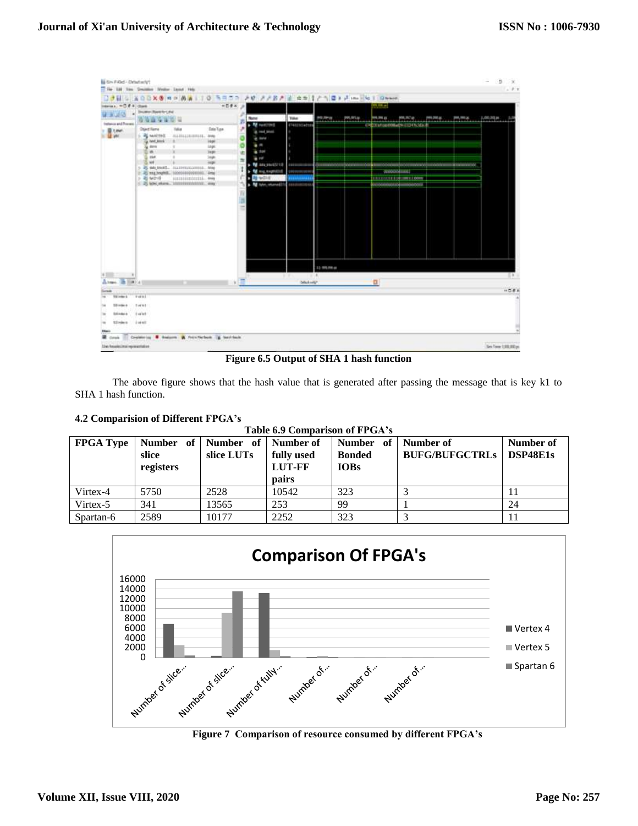| is to the 1 lost 1 Detail with     |                                                                                 |                      |                             |                           |                    |                                  |                |                                            |                  |                      | s<br>$\frac{1}{2}$<br>- 30 |
|------------------------------------|---------------------------------------------------------------------------------|----------------------|-----------------------------|---------------------------|--------------------|----------------------------------|----------------|--------------------------------------------|------------------|----------------------|----------------------------|
|                                    | The Life time Southern Wedner Land, Help                                        |                      |                             |                           |                    |                                  |                |                                            |                  |                      | $1 - 0.7$                  |
|                                    | □透明公   2002年度《国内传播》100 马尔丁》 产卵 产产器产品 地面注定作用文件 mojika 1 Green                    |                      |                             |                           |                    |                                  |                |                                            |                  |                      |                            |
| Herata, HO 8.8, Davis              | Showing (Reele for Calve)                                                       | 林四季花 法               |                             |                           |                    |                                  | والمستبد       |                                            |                  |                      |                            |
| $2 - 14$                           | <b>WY WWW</b>                                                                   |                      | <b><i><u>Rated</u></i></b>  | <b>Tiles</b>              | <b>MOJINARY</b>    | WORTH.                           | <b>HALFALS</b> | AVIVE, 2012 <sup>7</sup> and               | (494, 2002 apr.) | pa, texas            | L00L301a                   |
| <b>Industry and Premix</b>         |                                                                                 |                      | . M restrict                | <b>CT48U FC Le T100</b>   |                    |                                  |                | <b>IT EXTERNOONING STEERING AND</b>        |                  |                      |                            |
| <b>Light</b>                       | Otject Kame<br><b>Mag</b><br>- all numbers<br><b>HARRASSERIEL AVE</b>           | <b>Date Type</b>     | a red next                  |                           |                    |                                  |                |                                            |                  |                      |                            |
|                                    | ig not less                                                                     | inge                 | $2 - 4$                     |                           |                    |                                  |                |                                            |                  |                      |                            |
|                                    | ig Arra<br>÷<br>10 m                                                            | tage<br><b>Skide</b> | $\bullet$<br>$+10$          |                           |                    |                                  |                |                                            |                  |                      |                            |
|                                    | <b>Hart</b>                                                                     | 1mph                 | 击<br>$= 10$                 |                           |                    |                                  |                |                                            |                  |                      |                            |
|                                    | 5.14<br>5 25 Mi Bodd<br>SLIDNIKISHISS, ANN                                      | <b>THEFT</b>         | $\rightarrow$ M an event to | <b>STERN COMPANY</b>      | <b>TERRITO MAR</b> | <b>Shone and a manufacturers</b> | noomin         | <b>processing and a control of the ASS</b> | moornim          | <b>Antiquisition</b> |                            |
|                                    | 1 20 mg/myhili.                                                                 | <b>Array</b>         | > M Highland Cold           | <b>Manager</b>            |                    |                                  | ARROUNDED AT   |                                            |                  |                      |                            |
|                                    | <b>&gt; 图 WING</b><br>SISSASISISTELL. Aves<br>C 25 km stars. Imministrator, and |                      | <b>BE WORK</b>              | <b>STREETING</b>          |                    |                                  |                | <b>BRISBING - BRASS</b>                    |                  |                      |                            |
|                                    |                                                                                 |                      | <b>N</b> Min. mane(1)       | <b><i>EBSERBALDER</i></b> |                    |                                  | 000000000000   | incontrol                                  |                  |                      |                            |
|                                    |                                                                                 |                      |                             |                           |                    |                                  |                |                                            |                  |                      |                            |
|                                    |                                                                                 |                      |                             |                           |                    |                                  |                |                                            |                  |                      |                            |
|                                    |                                                                                 |                      |                             |                           |                    |                                  |                |                                            |                  |                      |                            |
|                                    |                                                                                 |                      |                             |                           |                    |                                  |                |                                            |                  |                      |                            |
|                                    |                                                                                 |                      |                             |                           |                    |                                  |                |                                            |                  |                      |                            |
|                                    |                                                                                 |                      |                             |                           |                    |                                  |                |                                            |                  |                      |                            |
|                                    |                                                                                 |                      |                             |                           |                    |                                  |                |                                            |                  |                      |                            |
|                                    |                                                                                 |                      |                             |                           |                    |                                  |                |                                            |                  |                      |                            |
|                                    |                                                                                 |                      |                             |                           |                    |                                  |                |                                            |                  |                      |                            |
|                                    |                                                                                 |                      |                             |                           | 11:99.09.pc        |                                  |                |                                            |                  |                      |                            |
|                                    |                                                                                 |                      |                             |                           | TO ALL             |                                  |                |                                            |                  |                      | 58.1                       |
| <b>IE HIP</b> (41)<br>Atoms.       |                                                                                 | ×                    |                             | <b>Silviano</b>           |                    |                                  | a              |                                            |                  |                      |                            |
| 248                                |                                                                                 |                      |                             |                           |                    |                                  |                |                                            |                  |                      | $+58k$                     |
| THE SHOW IS                        | <b>Funni</b>                                                                    |                      |                             |                           |                    |                                  |                |                                            |                  |                      |                            |
| Till brike de<br>164               | <b>Event</b>                                                                    |                      |                             |                           |                    |                                  |                |                                            |                  |                      |                            |
| Sticket &<br><b>Sec</b>            | turet                                                                           |                      |                             |                           |                    |                                  |                |                                            |                  |                      |                            |
|                                    |                                                                                 |                      |                             |                           |                    |                                  |                |                                            |                  |                      |                            |
| <b>S.I. roles</b> to<br>in the     | <b>Lugar</b>                                                                    |                      |                             |                           |                    |                                  |                |                                            |                  |                      |                            |
| <b>There</b>                       | Crossering . Salarra & Printfielborn . & Sanfrick                               |                      |                             |                           |                    |                                  |                |                                            |                  |                      |                            |
| ⋑<br>Corsole                       |                                                                                 |                      |                             |                           |                    |                                  |                |                                            |                  |                      |                            |
| Mark Resulting that representation |                                                                                 |                      |                             |                           |                    |                                  |                |                                            |                  |                      | In Tex URUEs:              |

**Figure 6.5 Output of SHA 1 hash function**

The above figure shows that the hash value that is generated after passing the message that is key k1 to SHA 1 hash function.

## **4.2 Comparision of Different FPGA's**

| Table 6.9 Comparison of FPGA's |                    |                                   |                                            |                                           |                                    |                       |  |  |  |  |
|--------------------------------|--------------------|-----------------------------------|--------------------------------------------|-------------------------------------------|------------------------------------|-----------------------|--|--|--|--|
| <b>FPGA Type</b>               | slice<br>registers | Number of Number of<br>slice LUTs | Number of<br>fully used<br>LUT-FF<br>pairs | Number of<br><b>Bonded</b><br><b>IOBs</b> | Number of<br><b>BUFG/BUFGCTRLs</b> | Number of<br>DSP48E1s |  |  |  |  |
| Virtex-4                       | 5750               | 2528                              | 10542                                      | 323                                       |                                    | 11                    |  |  |  |  |
| Virtex-5                       | 341                | 13565                             | 253                                        | 99                                        |                                    | 24                    |  |  |  |  |
| Spartan-6                      | 2589               | 10177                             | 2252                                       | 323                                       |                                    | 11                    |  |  |  |  |



**Figure 7 Comparison of resource consumed by different FPGA's**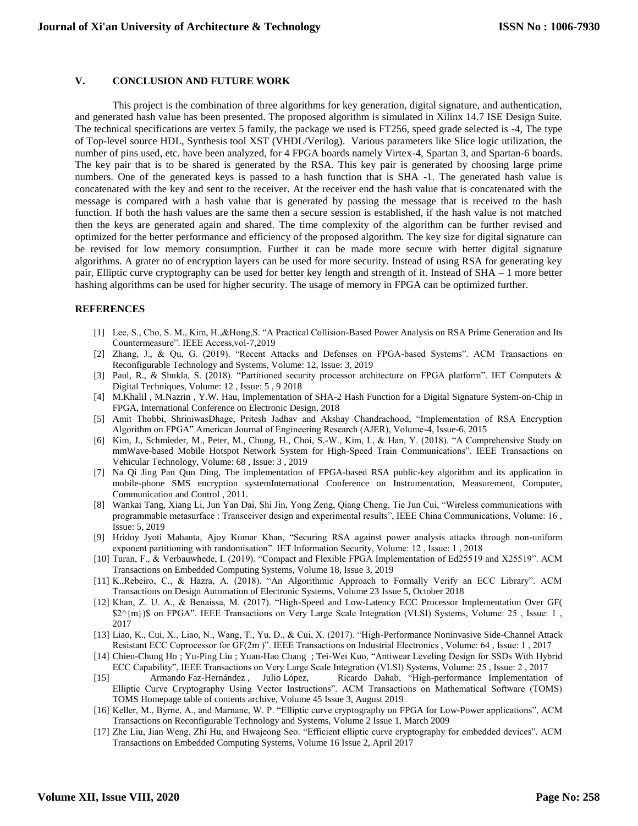### **V. CONCLUSION AND FUTURE WORK**

This project is the combination of three algorithms for key generation, digital signature, and authentication, and generated hash value has been presented. The proposed algorithm is simulated in Xilinx 14.7 ISE Design Suite. The technical specifications are vertex 5 family, the package we used is FT256, speed grade selected is -4, The type of Top-level source HDL, Synthesis tool XST (VHDL/Verilog). Various parameters like Slice logic utilization, the number of pins used, etc. have been analyzed, for 4 FPGA boards namely Virtex-4, Spartan 3, and Spartan-6 boards. The key pair that is to be shared is generated by the RSA. This key pair is generated by choosing large prime numbers. One of the generated keys is passed to a hash function that is SHA -1. The generated hash value is concatenated with the key and sent to the receiver. At the receiver end the hash value that is concatenated with the message is compared with a hash value that is generated by passing the message that is received to the hash function. If both the hash values are the same then a secure session is established, if the hash value is not matched then the keys are generated again and shared. The time complexity of the algorithm can be further revised and optimized for the better performance and efficiency of the proposed algorithm. The key size for digital signature can be revised for low memory consumption. Further it can be made more secure with better digital signature algorithms. A grater no of encryption layers can be used for more security. Instead of using RSA for generating key pair, Elliptic curve cryptography can be used for better key length and strength of it. Instead of SHA – 1 more better hashing algorithms can be used for higher security. The usage of memory in FPGA can be optimized further.

#### **REFERENCES**

- [1] Lee, S., Cho, S. M., Kim, H.,&Hong,S. "A Practical Collision-Based Power Analysis on RSA Prime Generation and Its Countermeasure". IEEE Access,vol-7,2019
- [2] Zhang, J., & Qu, G. (2019). "Recent Attacks and Defenses on FPGA-based Systems". ACM Transactions on Reconfigurable Technology and Systems, Volume: 12, Issue: 3, 2019
- [3] Paul, R., & Shukla, S. (2018). "Partitioned security processor architecture on FPGA platform". IET Computers & Digital Techniques, Volume: 12 , Issue: 5 , 9 2018
- [4] M.Khalil , M.Nazrin , Y.W. Hau, Implementation of SHA-2 Hash Function for a Digital Signature System-on-Chip in FPGA, International Conference on Electronic Design, 2018
- [5] Amit Thobbi, ShriniwasDhage, Pritesh Jadhav and Akshay Chandrachood, "Implementation of RSA Encryption Algorithm on FPGA" American Journal of Engineering Research (AJER), Volume-4, Issue-6, 2015
- [6] Kim, J., Schmieder, M., Peter, M., Chung, H., Choi, S.-W., Kim, I., & Han, Y. (2018). "A Comprehensive Study on mmWave-based Mobile Hotspot Network System for High-Speed Train Communications". IEEE Transactions on Vehicular Technology, Volume: 68 , Issue: 3 , 2019
- [7] Na Qi Jing Pan Qun Ding, The implementation of FPGA-based RSA public-key algorithm and its application in mobile-phone SMS encryption systemInternational Conference on Instrumentation, Measurement, Computer, Communication and Control , 2011.
- [8] Wankai Tang, Xiang Li, Jun Yan Dai, Shi Jin, Yong Zeng, Qiang Cheng, Tie Jun Cui, "Wireless communications with programmable metasurface : Transceiver design and experimental results", IEEE China Communications, Volume: 16 , Issue: 5, 2019
- [9] Hridoy Jyoti Mahanta, Ajoy Kumar Khan, "Securing RSA against power analysis attacks through non-uniform exponent partitioning with randomisation". IET Information Security, Volume: 12 , Issue: 1 , 2018
- [10] Turan, F., & Verbauwhede, I. (2019). "Compact and Flexible FPGA Implementation of Ed25519 and X25519". ACM Transactions on Embedded Computing Systems, Volume 18, Issue 3, 2019
- [11] K.,Rebeiro, C., & Hazra, A. (2018). "An Algorithmic Approach to Formally Verify an ECC Library". ACM Transactions on Design Automation of Electronic Systems, Volume 23 Issue 5, October 2018
- [12] Khan, Z. U. A., & Benaissa, M. (2017). "High-Speed and Low-Latency ECC Processor Implementation Over GF( \$2^{m})\$ on FPGA". IEEE Transactions on Very Large Scale Integration (VLSI) Systems, Volume: 25, Issue: 1, 2017
- [13] Liao, K., Cui, X., Liao, N., Wang, T., Yu, D., & Cui, X. (2017). "High-Performance Noninvasive Side-Channel Attack Resistant ECC Coprocessor for GF(2m )". IEEE Transactions on Industrial Electronics , Volume: 64 , Issue: 1 , 2017
- [14] Chien-Chung Ho ; Yu-Ping Liu ; Yuan-Hao Chang ; Tei-Wei Kuo, "Antiwear Leveling Design for SSDs With Hybrid
- ECC Capability", IEEE Transactions on Very Large Scale Integration (VLSI) Systems, Volume: 25 , Issue: 2 , 2017 [15] Armando Faz-Hernández , Julio López, Ricardo Dahab, "High-performance Implementation of Elliptic Curve Cryptography Using Vector Instructions". ACM Transactions on Mathematical Software (TOMS) TOMS Homepage table of contents archive, Volume 45 Issue 3, August 2019
- [16] Keller, M., Byrne, A., and Marnane, W. P. "Elliptic curve cryptography on FPGA for Low-Power applications", ACM Transactions on Reconfigurable Technology and Systems, Volume 2 Issue 1, March 2009
- [17] Zhe Liu, Jian Weng, Zhi Hu, and Hwajeong Seo. "Efficient elliptic curve cryptography for embedded devices". ACM Transactions on Embedded Computing Systems, Volume 16 Issue 2, April 2017